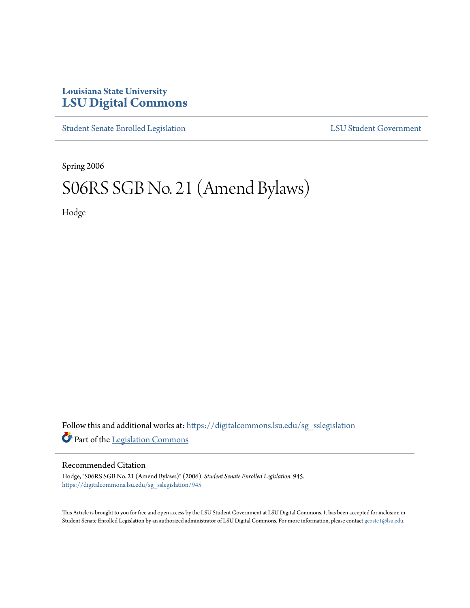# **Louisiana State University [LSU Digital Commons](https://digitalcommons.lsu.edu?utm_source=digitalcommons.lsu.edu%2Fsg_sslegislation%2F945&utm_medium=PDF&utm_campaign=PDFCoverPages)**

[Student Senate Enrolled Legislation](https://digitalcommons.lsu.edu/sg_sslegislation?utm_source=digitalcommons.lsu.edu%2Fsg_sslegislation%2F945&utm_medium=PDF&utm_campaign=PDFCoverPages) [LSU Student Government](https://digitalcommons.lsu.edu/sg?utm_source=digitalcommons.lsu.edu%2Fsg_sslegislation%2F945&utm_medium=PDF&utm_campaign=PDFCoverPages)

Spring 2006

# S06RS SGB No. 21 (Amend Bylaws)

Hodge

Follow this and additional works at: [https://digitalcommons.lsu.edu/sg\\_sslegislation](https://digitalcommons.lsu.edu/sg_sslegislation?utm_source=digitalcommons.lsu.edu%2Fsg_sslegislation%2F945&utm_medium=PDF&utm_campaign=PDFCoverPages) Part of the [Legislation Commons](http://network.bepress.com/hgg/discipline/859?utm_source=digitalcommons.lsu.edu%2Fsg_sslegislation%2F945&utm_medium=PDF&utm_campaign=PDFCoverPages)

#### Recommended Citation

Hodge, "S06RS SGB No. 21 (Amend Bylaws)" (2006). *Student Senate Enrolled Legislation*. 945. [https://digitalcommons.lsu.edu/sg\\_sslegislation/945](https://digitalcommons.lsu.edu/sg_sslegislation/945?utm_source=digitalcommons.lsu.edu%2Fsg_sslegislation%2F945&utm_medium=PDF&utm_campaign=PDFCoverPages)

This Article is brought to you for free and open access by the LSU Student Government at LSU Digital Commons. It has been accepted for inclusion in Student Senate Enrolled Legislation by an authorized administrator of LSU Digital Commons. For more information, please contact [gcoste1@lsu.edu.](mailto:gcoste1@lsu.edu)